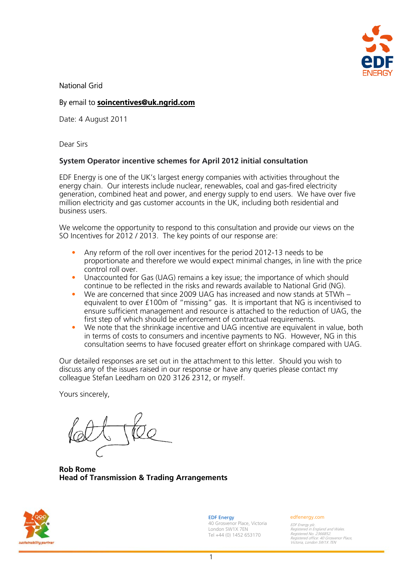

National Grid

# By email to **[soincentives@uk.ngrid.com](mailto:soincentives@uk.ngrid.com)**

Date: 4 August 2011

Dear Sirs

# **System Operator incentive schemes for April 2012 initial consultation**

EDF Energy is one of the UK's largest energy companies with activities throughout the energy chain. Our interests include nuclear, renewables, coal and gas-fired electricity generation, combined heat and power, and energy supply to end users. We have over five million electricity and gas customer accounts in the UK, including both residential and business users.

We welcome the opportunity to respond to this consultation and provide our views on the SO Incentives for 2012 / 2013. The key points of our response are:

- Any reform of the roll over incentives for the period 2012-13 needs to be proportionate and therefore we would expect minimal changes, in line with the price control roll over.
- Unaccounted for Gas (UAG) remains a key issue; the importance of which should continue to be reflected in the risks and rewards available to National Grid (NG).
- We are concerned that since 2009 UAG has increased and now stands at 5TWh equivalent to over £100m of "missing" gas. It is important that NG is incentivised to ensure sufficient management and resource is attached to the reduction of UAG, the first step of which should be enforcement of contractual requirements.
- We note that the shrinkage incentive and UAG incentive are equivalent in value, both in terms of costs to consumers and incentive payments to NG. However, NG in this consultation seems to have focused greater effort on shrinkage compared with UAG.

Our detailed responses are set out in the attachment to this letter. Should you wish to discuss any of the issues raised in our response or have any queries please contact my colleague Stefan Leedham on 020 3126 2312, or myself.

Yours sincerely,

**Rob Rome Head of Transmission & Trading Arrangements** 



EDF Energy 40 Grosvenor Place, Victoria London SW1X 7EN Tel +44 (0) 1452 653170

#### edfenergy.com

EDF Energy plc. Registered in England and Wales. Registered No. 2366852. Registered office: 40 Grosvenor Place, Victoria, London SW1X 7EN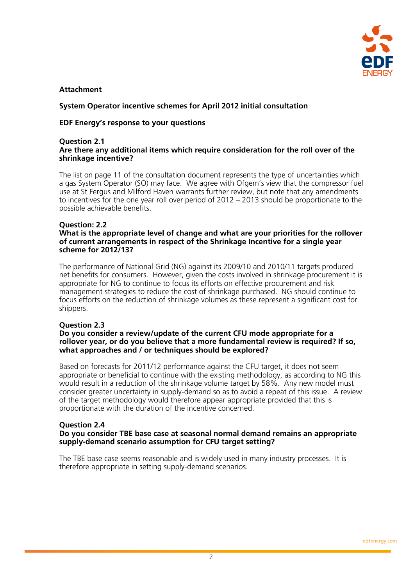

# **Attachment**

# **System Operator incentive schemes for April 2012 initial consultation**

## **EDF Energy's response to your questions**

#### **Question 2.1 Are there any additional items which require consideration for the roll over of the shrinkage incentive?**

The list on page 11 of the consultation document represents the type of uncertainties which a gas System Operator (SO) may face. We agree with Ofgem's view that the compressor fuel use at St Fergus and Milford Haven warrants further review, but note that any amendments to incentives for the one year roll over period of 2012 – 2013 should be proportionate to the possible achievable benefits.

# **Question: 2.2**

### **What is the appropriate level of change and what are your priorities for the rollover of current arrangements in respect of the Shrinkage Incentive for a single year scheme for 2012/13?**

The performance of National Grid (NG) against its 2009/10 and 2010/11 targets produced net benefits for consumers. However, given the costs involved in shrinkage procurement it is appropriate for NG to continue to focus its efforts on effective procurement and risk management strategies to reduce the cost of shrinkage purchased. NG should continue to focus efforts on the reduction of shrinkage volumes as these represent a significant cost for shippers.

#### **Question 2.3**

#### **Do you consider a review/update of the current CFU mode appropriate for a rollover year, or do you believe that a more fundamental review is required? If so, what approaches and / or techniques should be explored?**

Based on forecasts for 2011/12 performance against the CFU target, it does not seem appropriate or beneficial to continue with the existing methodology, as according to NG this would result in a reduction of the shrinkage volume target by 58%. Any new model must consider greater uncertainty in supply-demand so as to avoid a repeat of this issue. A review of the target methodology would therefore appear appropriate provided that this is proportionate with the duration of the incentive concerned.

#### **Question 2.4 Do you consider TBE base case at seasonal normal demand remains an appropriate supply-demand scenario assumption for CFU target setting?**

The TBE base case seems reasonable and is widely used in many industry processes. It is therefore appropriate in setting supply-demand scenarios.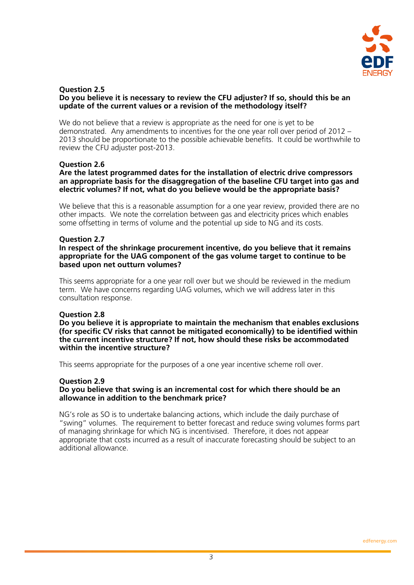

#### **Question 2.5 Do you believe it is necessary to review the CFU adjuster? If so, should this be an update of the current values or a revision of the methodology itself?**

We do not believe that a review is appropriate as the need for one is yet to be demonstrated. Any amendments to incentives for the one year roll over period of 2012 – 2013 should be proportionate to the possible achievable benefits. It could be worthwhile to review the CFU adjuster post-2013.

### **Question 2.6**

### **Are the latest programmed dates for the installation of electric drive compressors an appropriate basis for the disaggregation of the baseline CFU target into gas and electric volumes? If not, what do you believe would be the appropriate basis?**

We believe that this is a reasonable assumption for a one year review, provided there are no other impacts. We note the correlation between gas and electricity prices which enables some offsetting in terms of volume and the potential up side to NG and its costs.

### **Question 2.7**

**In respect of the shrinkage procurement incentive, do you believe that it remains appropriate for the UAG component of the gas volume target to continue to be based upon net outturn volumes?** 

This seems appropriate for a one year roll over but we should be reviewed in the medium term. We have concerns regarding UAG volumes, which we will address later in this consultation response.

# **Question 2.8**

**Do you believe it is appropriate to maintain the mechanism that enables exclusions (for specific CV risks that cannot be mitigated economically) to be identified within the current incentive structure? If not, how should these risks be accommodated within the incentive structure?** 

This seems appropriate for the purposes of a one year incentive scheme roll over.

#### **Question 2.9**

### **Do you believe that swing is an incremental cost for which there should be an allowance in addition to the benchmark price?**

NG's role as SO is to undertake balancing actions, which include the daily purchase of "swing" volumes. The requirement to better forecast and reduce swing volumes forms part of managing shrinkage for which NG is incentivised. Therefore, it does not appear appropriate that costs incurred as a result of inaccurate forecasting should be subject to an additional allowance.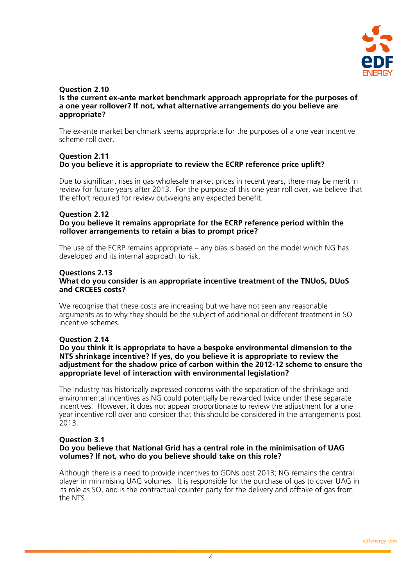

#### **Question 2.10 Is the current ex-ante market benchmark approach appropriate for the purposes of a one year rollover? If not, what alternative arrangements do you believe are appropriate?**

The ex-ante market benchmark seems appropriate for the purposes of a one year incentive scheme roll over.

# **Question 2.11 Do you believe it is appropriate to review the ECRP reference price uplift?**

Due to significant rises in gas wholesale market prices in recent years, there may be merit in review for future years after 2013. For the purpose of this one year roll over, we believe that the effort required for review outweighs any expected benefit.

# **Question 2.12**

## **Do you believe it remains appropriate for the ECRP reference period within the rollover arrangements to retain a bias to prompt price?**

The use of the ECRP remains appropriate – any bias is based on the model which NG has developed and its internal approach to risk.

#### **Questions 2.13 What do you consider is an appropriate incentive treatment of the TNUoS, DUoS and CRCEES costs?**

We recognise that these costs are increasing but we have not seen any reasonable arguments as to why they should be the subject of additional or different treatment in SO incentive schemes.

# **Question 2.14**

#### **Do you think it is appropriate to have a bespoke environmental dimension to the NTS shrinkage incentive? If yes, do you believe it is appropriate to review the adjustment for the shadow price of carbon within the 2012-12 scheme to ensure the appropriate level of interaction with environmental legislation?**

The industry has historically expressed concerns with the separation of the shrinkage and environmental incentives as NG could potentially be rewarded twice under these separate incentives. However, it does not appear proportionate to review the adjustment for a one year incentive roll over and consider that this should be considered in the arrangements post 2013.

# **Question 3.1**

# **Do you believe that National Grid has a central role in the minimisation of UAG volumes? If not, who do you believe should take on this role?**

Although there is a need to provide incentives to GDNs post 2013; NG remains the central player in minimising UAG volumes. It is responsible for the purchase of gas to cover UAG in its role as SO, and is the contractual counter party for the delivery and offtake of gas from the NTS.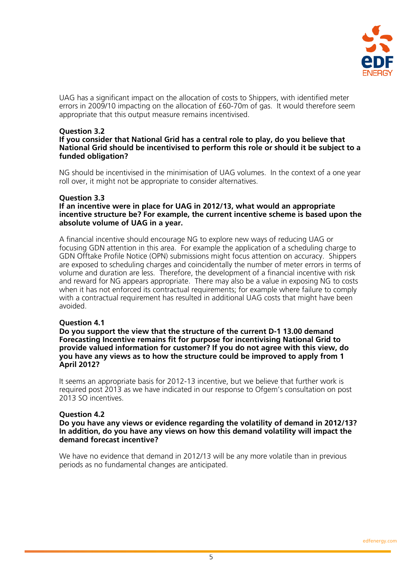

UAG has a significant impact on the allocation of costs to Shippers, with identified meter errors in 2009/10 impacting on the allocation of £60-70m of gas. It would therefore seem appropriate that this output measure remains incentivised.

# **Question 3.2**

### **If you consider that National Grid has a central role to play, do you believe that National Grid should be incentivised to perform this role or should it be subject to a funded obligation?**

NG should be incentivised in the minimisation of UAG volumes. In the context of a one year roll over, it might not be appropriate to consider alternatives.

### **Question 3.3**

#### **If an incentive were in place for UAG in 2012/13, what would an appropriate incentive structure be? For example, the current incentive scheme is based upon the absolute volume of UAG in a year.**

A financial incentive should encourage NG to explore new ways of reducing UAG or focusing GDN attention in this area. For example the application of a scheduling charge to GDN Offtake Profile Notice (OPN) submissions might focus attention on accuracy. Shippers are exposed to scheduling charges and coincidentally the number of meter errors in terms of volume and duration are less. Therefore, the development of a financial incentive with risk and reward for NG appears appropriate. There may also be a value in exposing NG to costs when it has not enforced its contractual requirements; for example where failure to comply with a contractual requirement has resulted in additional UAG costs that might have been avoided.

# **Question 4.1**

**Do you support the view that the structure of the current D-1 13.00 demand Forecasting Incentive remains fit for purpose for incentivising National Grid to provide valued information for customer? If you do not agree with this view, do you have any views as to how the structure could be improved to apply from 1 April 2012?** 

It seems an appropriate basis for 2012-13 incentive, but we believe that further work is required post 2013 as we have indicated in our response to Ofgem's consultation on post 2013 SO incentives.

# **Question 4.2**

**Do you have any views or evidence regarding the volatility of demand in 2012/13? In addition, do you have any views on how this demand volatility will impact the demand forecast incentive?** 

We have no evidence that demand in 2012/13 will be any more volatile than in previous periods as no fundamental changes are anticipated.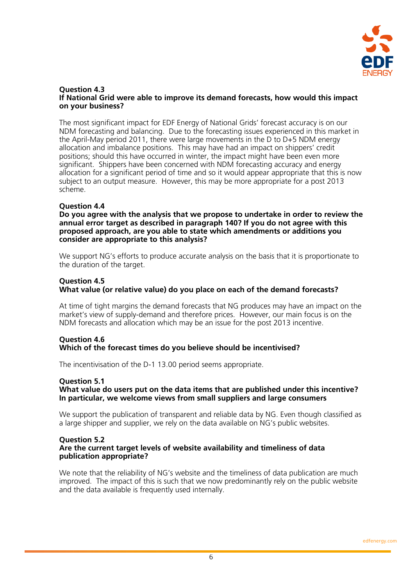

#### **Question 4.3 If National Grid were able to improve its demand forecasts, how would this impact on your business?**

The most significant impact for EDF Energy of National Grids' forecast accuracy is on our NDM forecasting and balancing. Due to the forecasting issues experienced in this market in the April-May period 2011, there were large movements in the D to D+5 NDM energy allocation and imbalance positions. This may have had an impact on shippers' credit positions; should this have occurred in winter, the impact might have been even more significant. Shippers have been concerned with NDM forecasting accuracy and energy allocation for a significant period of time and so it would appear appropriate that this is now subject to an output measure. However, this may be more appropriate for a post 2013 scheme.

# **Question 4.4**

**Do you agree with the analysis that we propose to undertake in order to review the annual error target as described in paragraph 140? If you do not agree with this proposed approach, are you able to state which amendments or additions you consider are appropriate to this analysis?** 

We support NG's efforts to produce accurate analysis on the basis that it is proportionate to the duration of the target.

# **Question 4.5**

# **What value (or relative value) do you place on each of the demand forecasts?**

At time of tight margins the demand forecasts that NG produces may have an impact on the market's view of supply-demand and therefore prices. However, our main focus is on the NDM forecasts and allocation which may be an issue for the post 2013 incentive.

# **Question 4.6 Which of the forecast times do you believe should be incentivised?**

The incentivisation of the D-1 13.00 period seems appropriate.

# **Question 5.1**

# **What value do users put on the data items that are published under this incentive? In particular, we welcome views from small suppliers and large consumers**

We support the publication of transparent and reliable data by NG. Even though classified as a large shipper and supplier, we rely on the data available on NG's public websites.

#### **Question 5.2 Are the current target levels of website availability and timeliness of data publication appropriate?**

We note that the reliability of NG's website and the timeliness of data publication are much improved. The impact of this is such that we now predominantly rely on the public website and the data available is frequently used internally.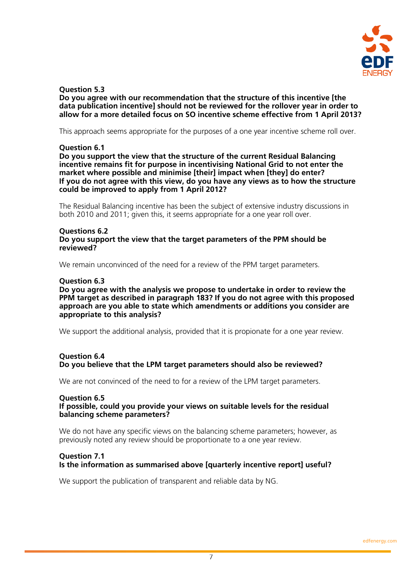

# **Question 5.3**

## **Do you agree with our recommendation that the structure of this incentive [the data publication incentive] should not be reviewed for the rollover year in order to allow for a more detailed focus on SO incentive scheme effective from 1 April 2013?**

This approach seems appropriate for the purposes of a one year incentive scheme roll over.

### **Question 6.1**

#### **Do you support the view that the structure of the current Residual Balancing incentive remains fit for purpose in incentivising National Grid to not enter the market where possible and minimise [their] impact when [they] do enter? If you do not agree with this view, do you have any views as to how the structure could be improved to apply from 1 April 2012?**

The Residual Balancing incentive has been the subject of extensive industry discussions in both 2010 and 2011; given this, it seems appropriate for a one year roll over.

#### **Questions 6.2 Do you support the view that the target parameters of the PPM should be reviewed?**

We remain unconvinced of the need for a review of the PPM target parameters.

### **Question 6.3**

#### **Do you agree with the analysis we propose to undertake in order to review the PPM target as described in paragraph 183? If you do not agree with this proposed approach are you able to state which amendments or additions you consider are appropriate to this analysis?**

We support the additional analysis, provided that it is propionate for a one year review.

# **Question 6.4 Do you believe that the LPM target parameters should also be reviewed?**

We are not convinced of the need to for a review of the LPM target parameters.

# **Question 6.5**

### **If possible, could you provide your views on suitable levels for the residual balancing scheme parameters?**

We do not have any specific views on the balancing scheme parameters; however, as previously noted any review should be proportionate to a one year review.

#### **Question 7.1 Is the information as summarised above [quarterly incentive report] useful?**

We support the publication of transparent and reliable data by NG.